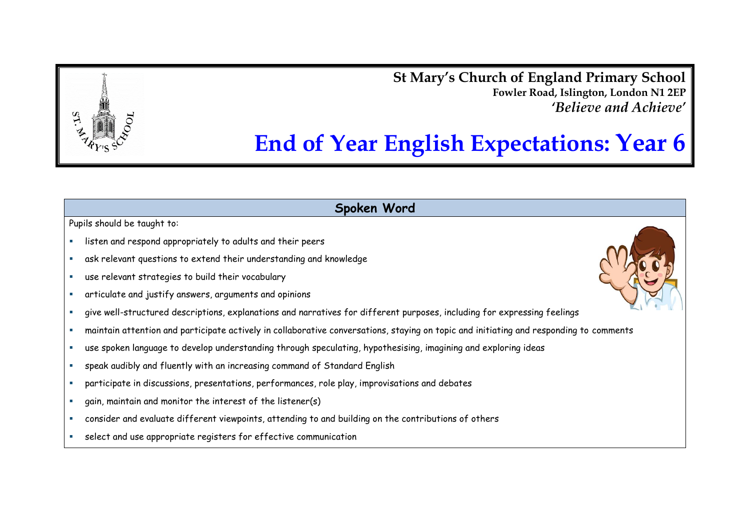**St Mary's Church of England Primary School Fowler Road, Islington, London N1 2EP** *'Believe and Achieve'*

# **End of Year English Expectations: Year 6**

**Spoken Word**

- listen and respond appropriately to adults and their peers
- ask relevant questions to extend their understanding and knowledge
- use relevant strategies to build their vocabulary
- articulate and justify answers, arguments and opinions
- give well-structured descriptions, explanations and narratives for different purposes, including for expressing feelings
- maintain attention and participate actively in collaborative conversations, staying on topic and initiating and responding to comments
- use spoken language to develop understanding through speculating, hypothesising, imagining and exploring ideas
- speak audibly and fluently with an increasing command of Standard English
- participate in discussions, presentations, performances, role play, improvisations and debates
- gain, maintain and monitor the interest of the listener(s)
- consider and evaluate different viewpoints, attending to and building on the contributions of others
- select and use appropriate registers for effective communication

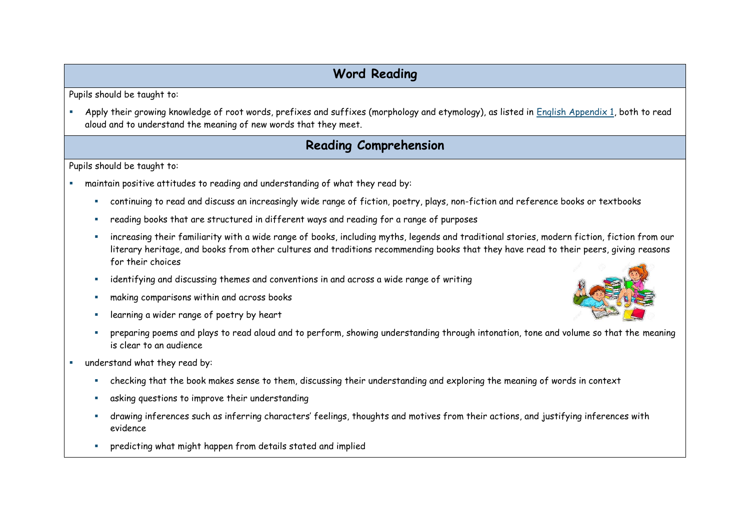# **Word Reading**

Pupils should be taught to:

 Apply their growing knowledge of root words, prefixes and suffixes (morphology and etymology), as listed in English Appendix 1, both to read aloud and to understand the meaning of new words that they meet.

### **Reading Comprehension**

- maintain positive attitudes to reading and understanding of what they read by:
	- continuing to read and discuss an increasingly wide range of fiction, poetry, plays, non-fiction and reference books or textbooks
	- reading books that are structured in different ways and reading for a range of purposes
	- increasing their familiarity with a wide range of books, including myths, legends and traditional stories, modern fiction, fiction from our literary heritage, and books from other cultures and traditions recommending books that they have read to their peers, giving reasons for their choices
	- identifying and discussing themes and conventions in and across a wide range of writing
	- making comparisons within and across books
	- **Example 2** learning a wider range of poetry by heart
	- **Philper preparing poems and plays to read aloud and to perform, showing understanding through intonation, tone and volume so that the meaning** is clear to an audience
- understand what they read by:
	- checking that the book makes sense to them, discussing their understanding and exploring the meaning of words in context
	- asking questions to improve their understanding
	- drawing inferences such as inferring characters' feelings, thoughts and motives from their actions, and justifying inferences with evidence
	- predicting what might happen from details stated and implied

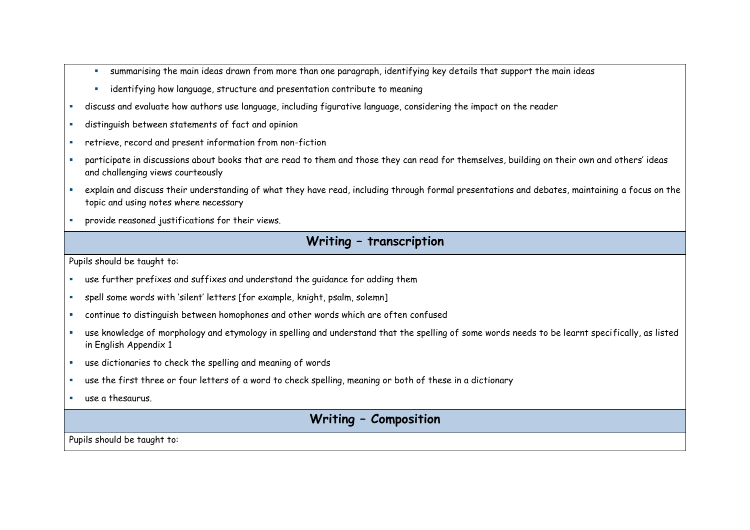- summarising the main ideas drawn from more than one paragraph, identifying key details that support the main ideas
- **EXECT** identifying how language, structure and presentation contribute to meaning
- discuss and evaluate how authors use language, including figurative language, considering the impact on the reader
- distinguish between statements of fact and opinion
- retrieve, record and present information from non-fiction
- participate in discussions about books that are read to them and those they can read for themselves, building on their own and others' ideas and challenging views courteously
- explain and discuss their understanding of what they have read, including through formal presentations and debates, maintaining a focus on the topic and using notes where necessary
- provide reasoned justifications for their views.

#### **Writing – transcription**

Pupils should be taught to:

- use further prefixes and suffixes and understand the guidance for adding them
- spell some words with 'silent' letters [for example, knight, psalm, solemn]
- continue to distinguish between homophones and other words which are often confused
- use knowledge of morphology and etymology in spelling and understand that the spelling of some words needs to be learnt specifically, as listed in English Appendix 1
- use dictionaries to check the spelling and meaning of words
- use the first three or four letters of a word to check spelling, meaning or both of these in a dictionary
- use a thesaurus.

## **Writing – Composition**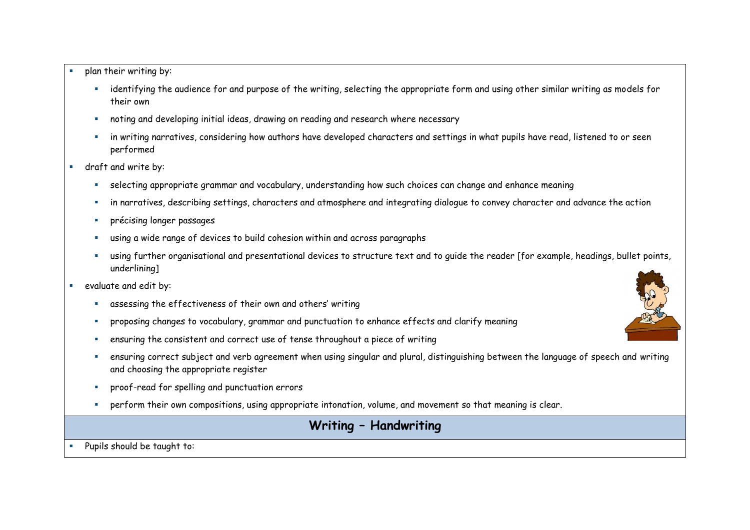- plan their writing by:
	- identifying the audience for and purpose of the writing, selecting the appropriate form and using other similar writing as models for their own
	- noting and developing initial ideas, drawing on reading and research where necessary
	- in writing narratives, considering how authors have developed characters and settings in what pupils have read, listened to or seen performed
- draft and write by:
	- selecting appropriate grammar and vocabulary, understanding how such choices can change and enhance meaning
	- in narratives, describing settings, characters and atmosphere and integrating dialogue to convey character and advance the action
	- précising longer passages
	- using a wide range of devices to build cohesion within and across paragraphs
	- using further organisational and presentational devices to structure text and to guide the reader [for example, headings, bullet points, underlining]
- evaluate and edit by:
	- assessing the effectiveness of their own and others' writing
	- proposing changes to vocabulary, grammar and punctuation to enhance effects and clarify meaning
	- ensuring the consistent and correct use of tense throughout a piece of writing
	- ensuring correct subject and verb agreement when using singular and plural, distinguishing between the language of speech and writing and choosing the appropriate register
	- proof-read for spelling and punctuation errors
	- perform their own compositions, using appropriate intonation, volume, and movement so that meaning is clear.

# **Writing – Handwriting**

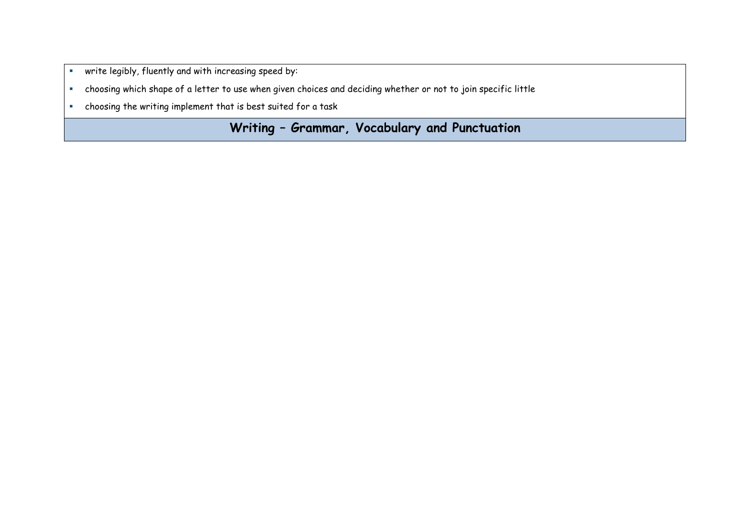- write legibly, fluently and with increasing speed by:
- choosing which shape of a letter to use when given choices and deciding whether or not to join specific little
- choosing the writing implement that is best suited for a task

**Writing – Grammar, Vocabulary and Punctuation**